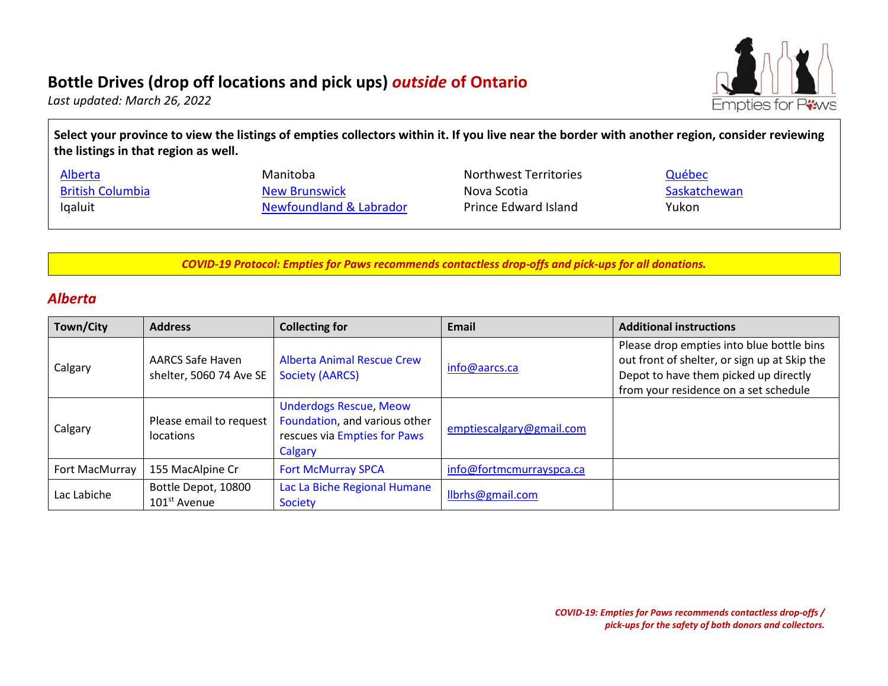# **Bottle Drives (drop off locations and pick ups)** *outside* **of Ontario**



*Last updated: March 26, 2022* 

**Select your province to view the listings of empties collectors within it. If you live near the border with another region, consider reviewing the listings in that region as well.** 

| Alberta                 | Manitoba                | Northwest Territories | Québec       |
|-------------------------|-------------------------|-----------------------|--------------|
| <b>British Columbia</b> | <b>New Brunswick</b>    | Nova Scotia           | Saskatchewan |
| Igaluit                 | Newfoundland & Labrador | Prince Edward Island  | Yukon        |

*COVID-19 Protocol: Empties for Paws recommends contactless drop-offs and pick-ups for all donations.*

#### <span id="page-0-0"></span>*Alberta*

| Town/City      | <b>Address</b>                                     | <b>Collecting for</b>                                                                                     | <b>Email</b>             | <b>Additional instructions</b>                                                                                                                                              |
|----------------|----------------------------------------------------|-----------------------------------------------------------------------------------------------------------|--------------------------|-----------------------------------------------------------------------------------------------------------------------------------------------------------------------------|
| Calgary        | <b>AARCS Safe Haven</b><br>shelter, 5060 74 Ave SE | <b>Alberta Animal Rescue Crew</b><br><b>Society (AARCS)</b>                                               | info@aarcs.ca            | Please drop empties into blue bottle bins<br>out front of shelter, or sign up at Skip the<br>Depot to have them picked up directly<br>from your residence on a set schedule |
| Calgary        | Please email to request<br>locations               | <b>Underdogs Rescue, Meow</b><br>Foundation, and various other<br>rescues via Empties for Paws<br>Calgary | emptiescalgary@gmail.com |                                                                                                                                                                             |
| Fort MacMurray | 155 MacAlpine Cr                                   | <b>Fort McMurray SPCA</b>                                                                                 | info@fortmcmurrayspca.ca |                                                                                                                                                                             |
| Lac Labiche    | Bottle Depot, 10800<br>$101st$ Avenue              | Lac La Biche Regional Humane<br><b>Society</b>                                                            | llbrhs@gmail.com         |                                                                                                                                                                             |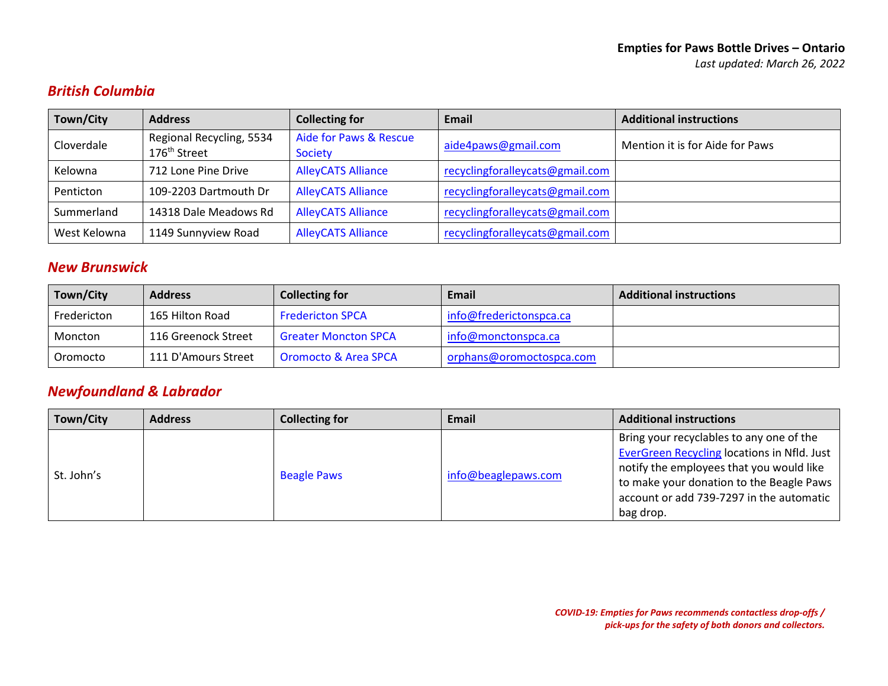# <span id="page-1-0"></span>*British Columbia*

| Town/City    | <b>Address</b>                                       | <b>Collecting for</b>                    | Email                           | <b>Additional instructions</b>  |
|--------------|------------------------------------------------------|------------------------------------------|---------------------------------|---------------------------------|
| Cloverdale   | Regional Recycling, 5534<br>176 <sup>th</sup> Street | Aide for Paws & Rescue<br><b>Society</b> | aide4paws@gmail.com             | Mention it is for Aide for Paws |
| Kelowna      | 712 Lone Pine Drive                                  | <b>AlleyCATS Alliance</b>                | recyclingforalleycats@gmail.com |                                 |
| Penticton    | 109-2203 Dartmouth Dr                                | <b>AlleyCATS Alliance</b>                | recyclingforalleycats@gmail.com |                                 |
| Summerland   | 14318 Dale Meadows Rd                                | <b>AlleyCATS Alliance</b>                | recyclingforalleycats@gmail.com |                                 |
| West Kelowna | 1149 Sunnyview Road                                  | <b>AlleyCATS Alliance</b>                | recyclingforalleycats@gmail.com |                                 |

### <span id="page-1-1"></span>*New Brunswick*

| Town/City   | <b>Address</b>      | <b>Collecting for</b>           | Email                    | <b>Additional instructions</b> |
|-------------|---------------------|---------------------------------|--------------------------|--------------------------------|
| Fredericton | 165 Hilton Road     | <b>Fredericton SPCA</b>         | info@frederictonspca.ca  |                                |
| Moncton     | 116 Greenock Street | <b>Greater Moncton SPCA</b>     | info@monctonspca.ca      |                                |
| Oromocto    | 111 D'Amours Street | <b>Oromocto &amp; Area SPCA</b> | orphans@oromoctospca.com |                                |

# <span id="page-1-2"></span>*Newfoundland & Labrador*

| Town/City  | <b>Address</b> | <b>Collecting for</b> | Email               | <b>Additional instructions</b>                                                                                                                                                                                                           |
|------------|----------------|-----------------------|---------------------|------------------------------------------------------------------------------------------------------------------------------------------------------------------------------------------------------------------------------------------|
| St. John's |                | <b>Beagle Paws</b>    | info@beaglepaws.com | Bring your recyclables to any one of the<br>EverGreen Recycling locations in Nfld. Just<br>notify the employees that you would like<br>to make your donation to the Beagle Paws<br>account or add 739-7297 in the automatic<br>bag drop. |